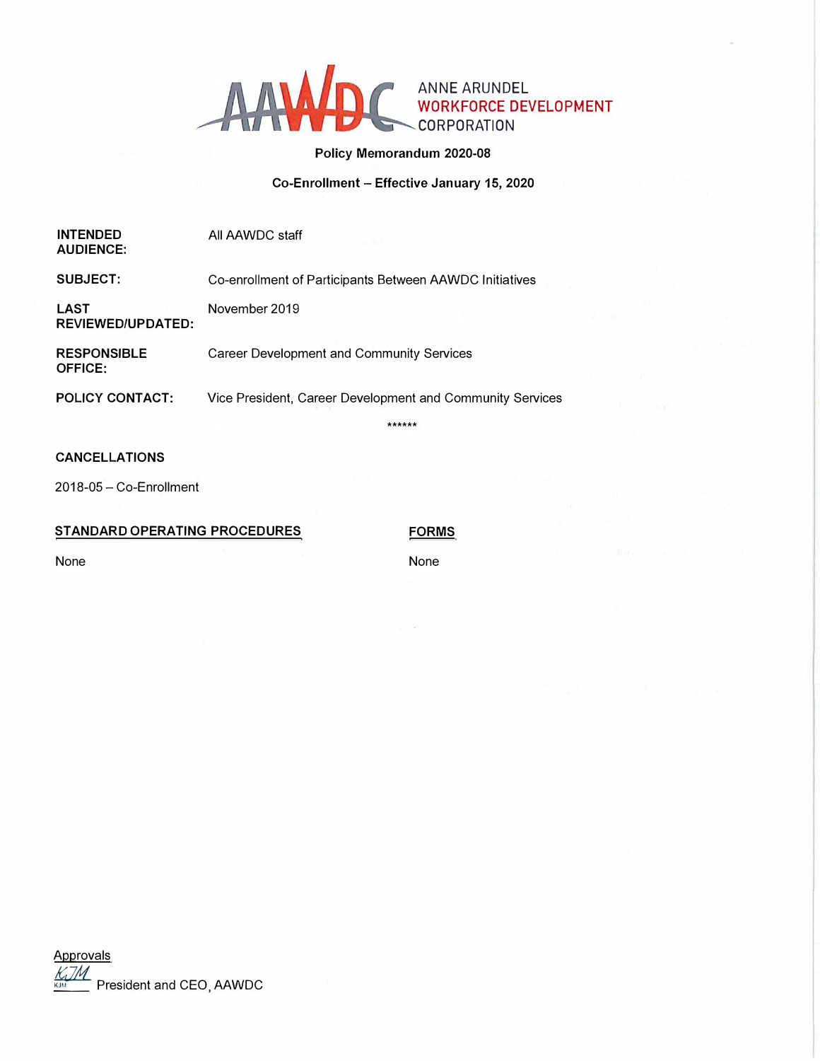

# **Policy Memorandum 2020-08**

**Co-Enrollment - Effective January 15, 2020** 

| <b>INTENDED</b><br><b>AUDIENCE:</b>  | All AAWDC staff                                           |  |
|--------------------------------------|-----------------------------------------------------------|--|
| SUBJECT:                             | Co-enrollment of Participants Between AAWDC Initiatives   |  |
| LAST<br><b>REVIEWED/UPDATED:</b>     | November 2019                                             |  |
| <b>RESPONSIBLE</b><br><b>OFFICE:</b> | <b>Career Development and Community Services</b>          |  |
| <b>POLICY CONTACT:</b>               | Vice President, Career Development and Community Services |  |
|                                      | ******                                                    |  |
| <b>CANCELLATIONS</b>                 |                                                           |  |
| 2018-05 - Co-Enrollment              |                                                           |  |

# **STANDARD OPERATING PROCEDURES**

**FORMS** 

None

None